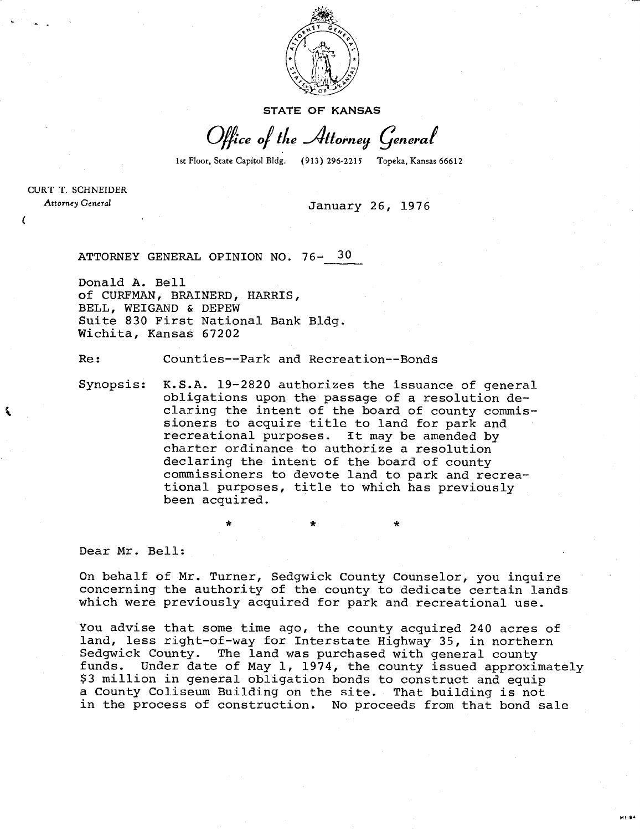

STATE OF KANSAS

Office of the Attorney General

1st Floor, State Capitol Bldg. (913) 296-2215 Topeka, Kansas 66612

CURT T. SCHNEIDER Attorney General

 $\epsilon$ 

ર્ષ

## January 26, 1976

ATTORNEY GENERAL OPINION NO. 76- 30

Donald A. Bell of CURFMAN, BRAINERD, HARRIS, BELL, WEIGAND & DEPEW Suite 830 First National Bank Bldg. Wichita, Kansas 67202

Re: Counties--Park and Recreation--Bonds

Synopsis: K.S.A. 19-2820 authorizes the issuance of general obligations upon the passage of a resolution declaring the intent of the board of county commissioners to acquire title to land for park and recreational purposes. It may be amended by charter ordinance to authorize a resolution declaring the intent of the board of county commissioners to devote land to park and recreational purposes, title to which has previously been acquired.

Dear Mr. Bell:

On behalf of Mr. Turner, Sedgwick County Counselor, you inquire concerning the authority of the county to dedicate certain lands which were previously acquired for park and recreational use.

You advise that some time ago, the county acquired 240 acres of land, less right-of-way for Interstate Highway 35, in northern Sedgwick County. The land was purchased with general county funds. Under date of May 1, 1974, the county issued approximately \$3 million in general obligation bonds to construct and equip a County Coliseum Building on the site. That building is not in the process of construction. No proceeds from that bond sale

**MI-94**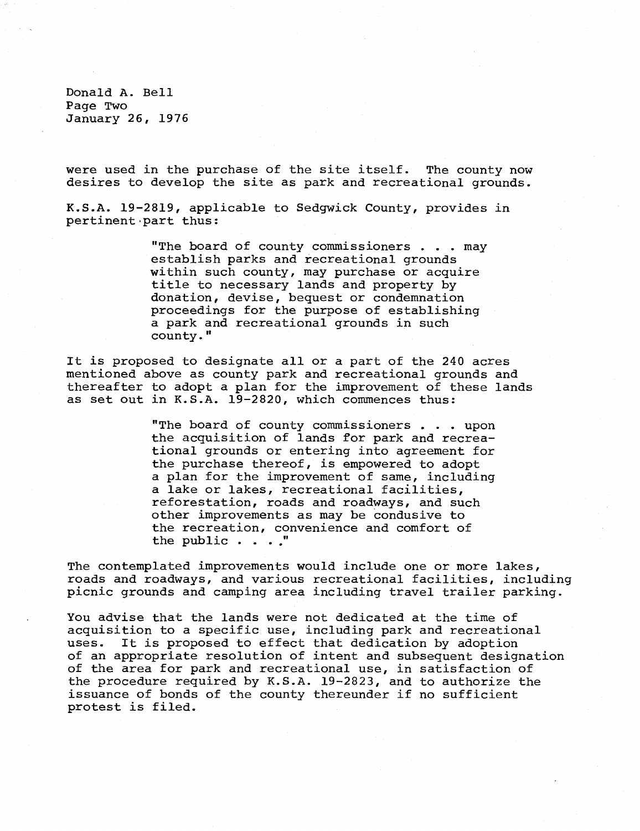Donald A. Bell Page Two January 26, 1976

were used in the purchase of the site itself. The county now desires to develop the site as park and recreational grounds.

K.S.A. 19-2819, applicable to Sedgwick County, provides in pertinent part thus:

> "The board of county commissioners . . . may establish parks and recreational grounds within such county, may purchase or acquire title to necessary lands and property by donation, devise, bequest or condemnation proceedings for the purpose of establishing a park and recreational grounds in such county."

It is proposed to designate all or a part of the 240 acres mentioned above as county park and recreational grounds and thereafter to adopt a plan for the improvement of these lands as set out in K.S.A. 19-2820, which commences thus:

> "The board of county commissioners . . . upon the acquisition of lands for park and recreational grounds or entering into agreement for the purchase thereof, is empowered to adopt a plan for the improvement of same, including a lake or lakes, recreational facilities, reforestation, roads and roadways, and such other improvements as may be condusive to the recreation, convenience and comfort of the public . . . ."

The contemplated improvements would include one or more lakes, roads and roadways, and various recreational facilities, including picnic grounds and camping area including travel trailer parking.

You advise that the lands were not dedicated at the time of acquisition to a specific use, including park and recreational uses. It is proposed to effect that dedication by adoption of an appropriate resolution of intent and subsequent designation of the area for park and recreational use, in satisfaction of the procedure required by K.S.A. 19-2823, and to authorize the issuance of bonds of the county thereunder if no sufficient protest is filed.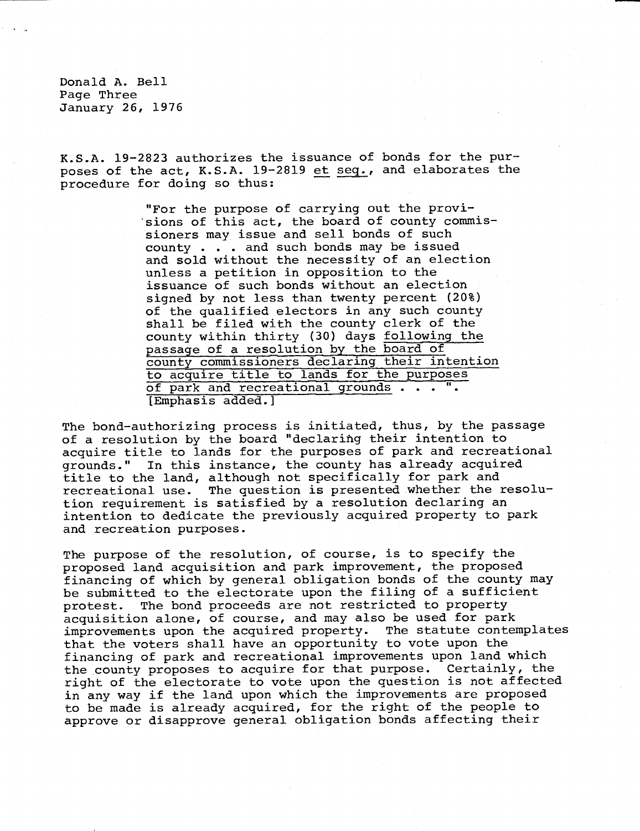Donald A. Bell Page Three January 26, 1976

K.S.A. 19-2823 authorizes the issuance of bonds for the purposes of the act, K.S.A. 19-2819 et seq., and elaborates the procedure for doing so thus:

> "For the purpose of carrying out the provisions of this act, the board of county commissioners may issue and sell bonds of such county . . . and such bonds may be issued and sold without the necessity of an election unless a petition in opposition to the issuance of such bonds without an election signed by not less than twenty percent (20%) of the qualified electors in any such county shall be filed with the county clerk of the county within thirty (30) days following the passage of a resolution by the board of county commissioners declaring their intention to acquire title to lands for the purposes of park and recreational grounds . . . ". [Emphasis added.]

The bond-authorizing process is initiated, thus, by the passage of a resolution by the board "declaring their intention to acquire title to lands for the purposes of park and recreational grounds." In this instance, the county has already acquired title to the land, although not specifically for park and recreational use. The question is presented whether the resolution requirement is satisfied by a resolution declaring an intention to dedicate the previously acquired property to park and recreation purposes.

The purpose of the resolution, of course, is to specify the proposed land acquisition and park improvement, the proposed financing of which by general obligation bonds of the county may be submitted to the electorate upon the filing of a sufficient protest. The bond proceeds are not restricted to property acquisition alone, of course, and may also be used for park improvements upon the acquired property. The statute contemplates that the voters shall have an opportunity to vote upon the financing of park and recreational improvements upon land which the county proposes to acquire for that purpose. Certainly, the right of the electorate to vote upon the question is not affected in any way if the land upon which the improvements are proposed to be made is already acquired, for the right of the people to approve or disapprove general obligation bonds affecting their